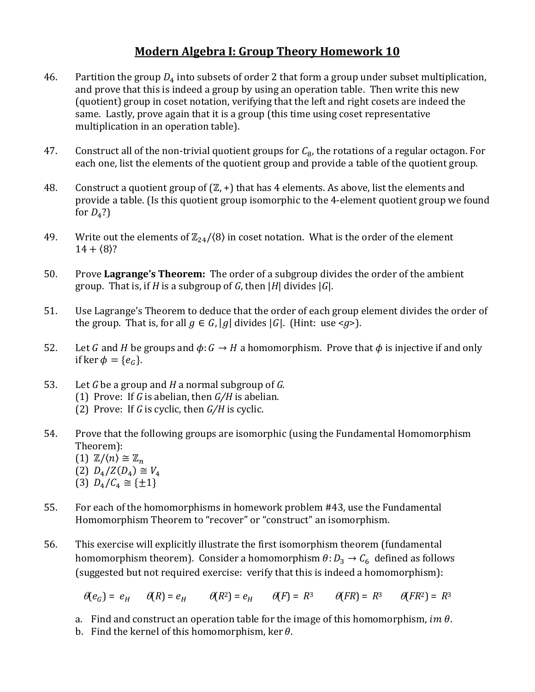## **Modern Algebra I: Group Theory Homework 10**

- 46. Partition the group  $D_4$  into subsets of order 2 that form a group under subset multiplication, and prove that this is indeed a group by using an operation table. Then write this new (quotient) group in coset notation, verifying that the left and right cosets are indeed the same. Lastly, prove again that it is a group (this time using coset representative multiplication in an operation table).
- 47. Construct all of the non-trivial quotient groups for  $C_8$ , the rotations of a regular octagon. For each one, list the elements of the quotient group and provide a table of the quotient group.
- 48. Construct a quotient group of  $(\mathbb{Z}, +)$  that has 4 elements. As above, list the elements and provide a table. (Is this quotient group isomorphic to the 4-element quotient group we found for  $D_4$ ?)
- 49. Write out the elements of  $\mathbb{Z}_{24}/\langle 8 \rangle$  in coset notation. What is the order of the element  $14 + (8)?$
- 50. Prove **Lagrange's Theorem:** The order of a subgroup divides the order of the ambient group. That is, if *H* is a subgroup of *G*, then |*H*| divides |*G*|.
- 51. Use Lagrange's Theorem to deduce that the order of each group element divides the order of the group. That is, for all  $g \in G$ , |g| divides |G|. (Hint: use <*g*>).
- 52. Let G and H be groups and  $\phi: G \to H$  a homomorphism. Prove that  $\phi$  is injective if and only if ker  $\phi = \{e_G\}.$
- 53. Let *G* be a group and *H* a normal subgroup of *G.* 
	- (1) Prove: If *G* is abelian, then *G/H* is abelian.
	- (2) Prove: If *G* is cyclic, then *G/H* is cyclic.
- 54. Prove that the following groups are isomorphic (using the Fundamental Homomorphism Theorem):
	- (1)  $\mathbb{Z}/\langle n \rangle \cong \mathbb{Z}_n$
	- $(2)$   $D_4/Z(D_4) \cong$
	- (3)  $D_4/C_4 \cong {\pm 1}$
- 55. For each of the homomorphisms in homework problem #43, use the Fundamental Homomorphism Theorem to "recover" or "construct" an isomorphism.
- 56. This exercise will explicitly illustrate the first isomorphism theorem (fundamental homomorphism theorem). Consider a homomorphism  $\theta: D_3 \to C_6$  defined as follows (suggested but not required exercise: verify that this is indeed a homomorphism):

$$
\Theta(e_G) = e_H \qquad \Theta(R) = e_H \qquad \Theta(R^2) = e_H \qquad \Theta(F) = R^3 \qquad \Theta(FR) = R^3 \qquad \Theta(FR^2) = R^3
$$

- a. Find and construct an operation table for the image of this homomorphism, im  $\theta$ .
- b. Find the kernel of this homomorphism, ker  $\theta$ .